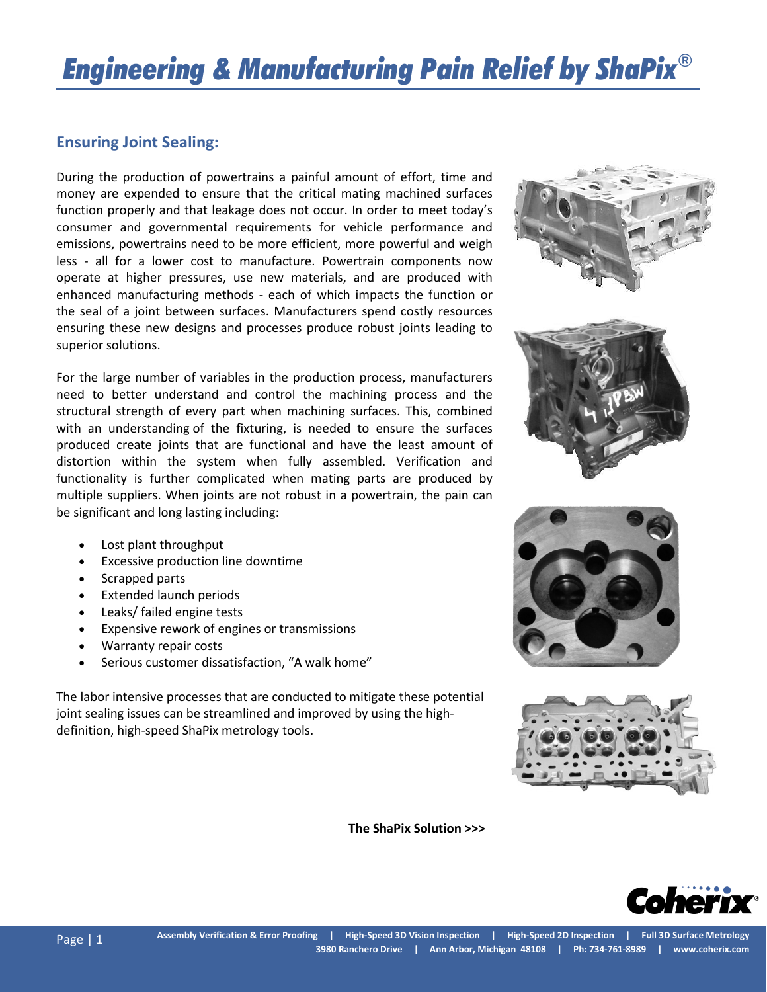## *Engineering & Manufacturing Pain Relief by ShaPix®*

## **Ensuring Joint Sealing:**

During the production of powertrains a painful amount of effort, time and money are expended to ensure that the critical mating machined surfaces function properly and that leakage does not occur. In order to meet today's consumer and governmental requirements for vehicle performance and emissions, powertrains need to be more efficient, more powerful and weigh less - all for a lower cost to manufacture. Powertrain components now operate at higher pressures, use new materials, and are produced with enhanced manufacturing methods - each of which impacts the function or the seal of a joint between surfaces. Manufacturers spend costly resources ensuring these new designs and processes produce robust joints leading to superior solutions.

For the large number of variables in the production process, manufacturers need to better understand and control the machining process and the structural strength of every part when machining surfaces. This, combined with an understanding of the fixturing, is needed to ensure the surfaces produced create joints that are functional and have the least amount of distortion within the system when fully assembled. Verification and functionality is further complicated when mating parts are produced by multiple suppliers. When joints are not robust in a powertrain, the pain can be significant and long lasting including:



- Lost plant throughput
- Excessive production line downtime
- Scrapped parts
- Extended launch periods
- Leaks/ failed engine tests
- Expensive rework of engines or transmissions
- Warranty repair costs
- Serious customer dissatisfaction, "A walk home"

The labor intensive processes that are conducted to mitigate these potential joint sealing issues can be streamlined and improved by using the highdefinition, high-speed ShaPix metrology tools.

 **The ShaPix Solution >>>**